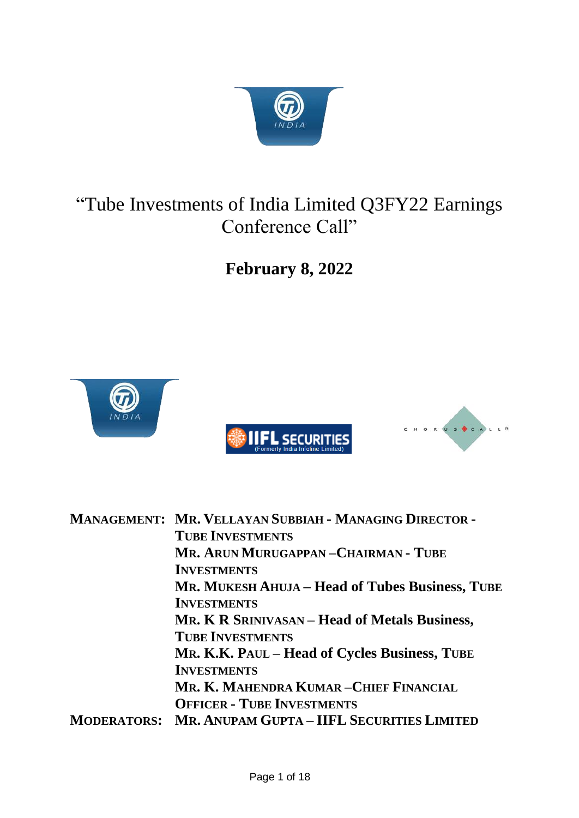

# "Tube Investments of India Limited Q3FY22 Earnings Conference Call"

**February 8, 2022**



| <b>MANAGEMENT: MR. VELLAYAN SUBBIAH - MANAGING DIRECTOR -</b> |
|---------------------------------------------------------------|
| <b>TUBE INVESTMENTS</b>                                       |
| MR. ARUN MURUGAPPAN-CHAIRMAN - TUBE                           |
| <b>INVESTMENTS</b>                                            |
| MR. MUKESH AHUJA – Head of Tubes Business, TUBE               |
| <b>INVESTMENTS</b>                                            |
| MR. K R SRINIVASAN – Head of Metals Business,                 |
| <b>TUBE INVESTMENTS</b>                                       |
| MR. K.K. PAUL – Head of Cycles Business, TUBE                 |
| <b>INVESTMENTS</b>                                            |
| MR. K. MAHENDRA KUMAR-CHIEF FINANCIAL                         |
| <b>OFFICER - TUBE INVESTMENTS</b>                             |
| <b>MODERATORS: MR. ANUPAM GUPTA - IIFL SECURITIES LIMITED</b> |
|                                                               |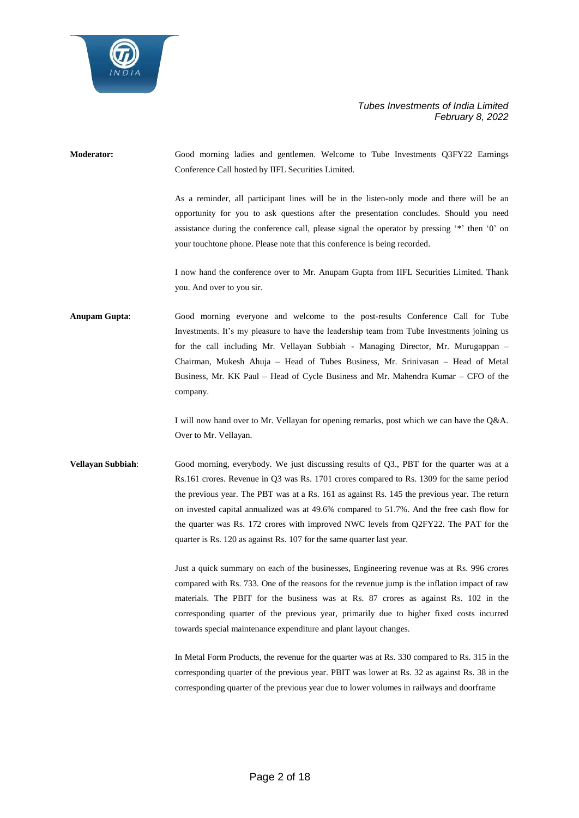

**Moderator:** Good morning ladies and gentlemen. Welcome to Tube Investments Q3FY22 Earnings Conference Call hosted by IIFL Securities Limited.

> As a reminder, all participant lines will be in the listen-only mode and there will be an opportunity for you to ask questions after the presentation concludes. Should you need assistance during the conference call, please signal the operator by pressing '\*' then '0' on your touchtone phone. Please note that this conference is being recorded.

> I now hand the conference over to Mr. Anupam Gupta from IIFL Securities Limited. Thank you. And over to you sir.

**Anupam Gupta**: Good morning everyone and welcome to the post-results Conference Call for Tube Investments. It's my pleasure to have the leadership team from Tube Investments joining us for the call including Mr. Vellayan Subbiah - Managing Director, Mr. Murugappan – Chairman, Mukesh Ahuja – Head of Tubes Business, Mr. Srinivasan – Head of Metal Business, Mr. KK Paul – Head of Cycle Business and Mr. Mahendra Kumar – CFO of the company.

> I will now hand over to Mr. Vellayan for opening remarks, post which we can have the Q&A. Over to Mr. Vellayan.

**Vellayan Subbiah**: Good morning, everybody. We just discussing results of Q3., PBT for the quarter was at a Rs.161 crores. Revenue in Q3 was Rs. 1701 crores compared to Rs. 1309 for the same period the previous year. The PBT was at a Rs. 161 as against Rs. 145 the previous year. The return on invested capital annualized was at 49.6% compared to 51.7%. And the free cash flow for the quarter was Rs. 172 crores with improved NWC levels from Q2FY22. The PAT for the quarter is Rs. 120 as against Rs. 107 for the same quarter last year.

> Just a quick summary on each of the businesses, Engineering revenue was at Rs. 996 crores compared with Rs. 733. One of the reasons for the revenue jump is the inflation impact of raw materials. The PBIT for the business was at Rs. 87 crores as against Rs. 102 in the corresponding quarter of the previous year, primarily due to higher fixed costs incurred towards special maintenance expenditure and plant layout changes.

> In Metal Form Products, the revenue for the quarter was at Rs. 330 compared to Rs. 315 in the corresponding quarter of the previous year. PBIT was lower at Rs. 32 as against Rs. 38 in the corresponding quarter of the previous year due to lower volumes in railways and doorframe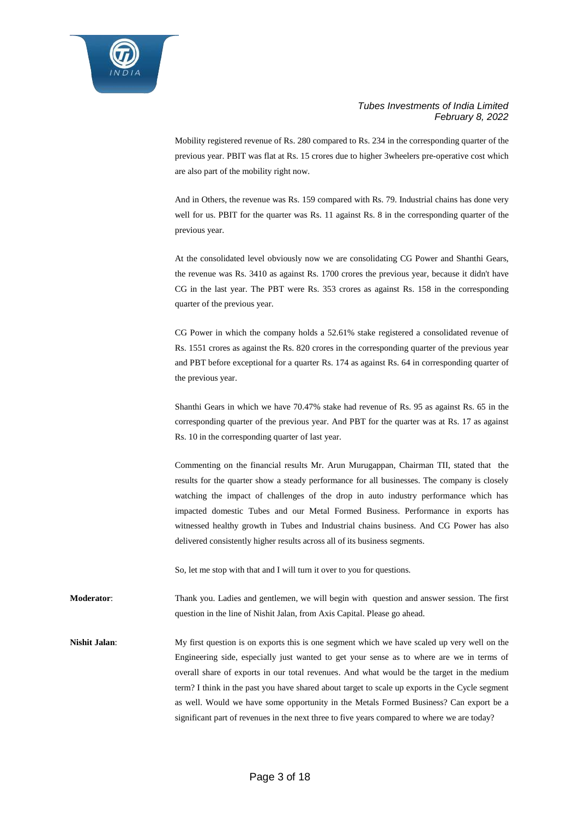

Mobility registered revenue of Rs. 280 compared to Rs. 234 in the corresponding quarter of the previous year. PBIT was flat at Rs. 15 crores due to higher 3wheelers pre-operative cost which are also part of the mobility right now.

And in Others, the revenue was Rs. 159 compared with Rs. 79. Industrial chains has done very well for us. PBIT for the quarter was Rs. 11 against Rs. 8 in the corresponding quarter of the previous year.

At the consolidated level obviously now we are consolidating CG Power and Shanthi Gears, the revenue was Rs. 3410 as against Rs. 1700 crores the previous year, because it didn't have CG in the last year. The PBT were Rs. 353 crores as against Rs. 158 in the corresponding quarter of the previous year.

CG Power in which the company holds a 52.61% stake registered a consolidated revenue of Rs. 1551 crores as against the Rs. 820 crores in the corresponding quarter of the previous year and PBT before exceptional for a quarter Rs. 174 as against Rs. 64 in corresponding quarter of the previous year.

Shanthi Gears in which we have 70.47% stake had revenue of Rs. 95 as against Rs. 65 in the corresponding quarter of the previous year. And PBT for the quarter was at Rs. 17 as against Rs. 10 in the corresponding quarter of last year.

Commenting on the financial results Mr. Arun Murugappan, Chairman TII, stated that the results for the quarter show a steady performance for all businesses. The company is closely watching the impact of challenges of the drop in auto industry performance which has impacted domestic Tubes and our Metal Formed Business. Performance in exports has witnessed healthy growth in Tubes and Industrial chains business. And CG Power has also delivered consistently higher results across all of its business segments.

So, let me stop with that and I will turn it over to you for questions.

**Moderator**: Thank you. Ladies and gentlemen, we will begin with question and answer session. The first question in the line of Nishit Jalan, from Axis Capital. Please go ahead.

**Nishit Jalan:** My first question is on exports this is one segment which we have scaled up very well on the Engineering side, especially just wanted to get your sense as to where are we in terms of overall share of exports in our total revenues. And what would be the target in the medium term? I think in the past you have shared about target to scale up exports in the Cycle segment as well. Would we have some opportunity in the Metals Formed Business? Can export be a significant part of revenues in the next three to five years compared to where we are today?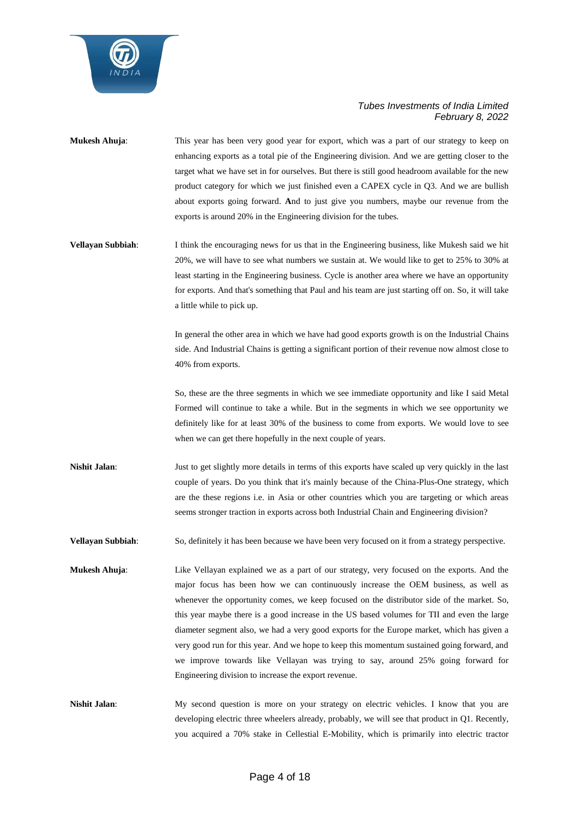

- **Mukesh Ahuja**: This year has been very good year for export, which was a part of our strategy to keep on enhancing exports as a total pie of the Engineering division. And we are getting closer to the target what we have set in for ourselves. But there is still good headroom available for the new product category for which we just finished even a CAPEX cycle in Q3. And we are bullish about exports going forward. **A**nd to just give you numbers, maybe our revenue from the exports is around 20% in the Engineering division for the tubes.
- **Vellayan Subbiah:** I think the encouraging news for us that in the Engineering business, like Mukesh said we hit 20%, we will have to see what numbers we sustain at. We would like to get to 25% to 30% at least starting in the Engineering business. Cycle is another area where we have an opportunity for exports. And that's something that Paul and his team are just starting off on. So, it will take a little while to pick up.

In general the other area in which we have had good exports growth is on the Industrial Chains side. And Industrial Chains is getting a significant portion of their revenue now almost close to 40% from exports.

So, these are the three segments in which we see immediate opportunity and like I said Metal Formed will continue to take a while. But in the segments in which we see opportunity we definitely like for at least 30% of the business to come from exports. We would love to see when we can get there hopefully in the next couple of years.

**Nishit Jalan:** Just to get slightly more details in terms of this exports have scaled up very quickly in the last couple of years. Do you think that it's mainly because of the China-Plus-One strategy, which are the these regions i.e. in Asia or other countries which you are targeting or which areas seems stronger traction in exports across both Industrial Chain and Engineering division?

**Vellayan Subbiah**: So, definitely it has been because we have been very focused on it from a strategy perspective.

- **Mukesh Ahuja**: Like Vellayan explained we as a part of our strategy, very focused on the exports. And the major focus has been how we can continuously increase the OEM business, as well as whenever the opportunity comes, we keep focused on the distributor side of the market. So, this year maybe there is a good increase in the US based volumes for TII and even the large diameter segment also, we had a very good exports for the Europe market, which has given a very good run for this year. And we hope to keep this momentum sustained going forward, and we improve towards like Vellayan was trying to say, around 25% going forward for Engineering division to increase the export revenue.
- Nishit Jalan: My second question is more on your strategy on electric vehicles. I know that you are developing electric three wheelers already, probably, we will see that product in Q1. Recently, you acquired a 70% stake in Cellestial E-Mobility, which is primarily into electric tractor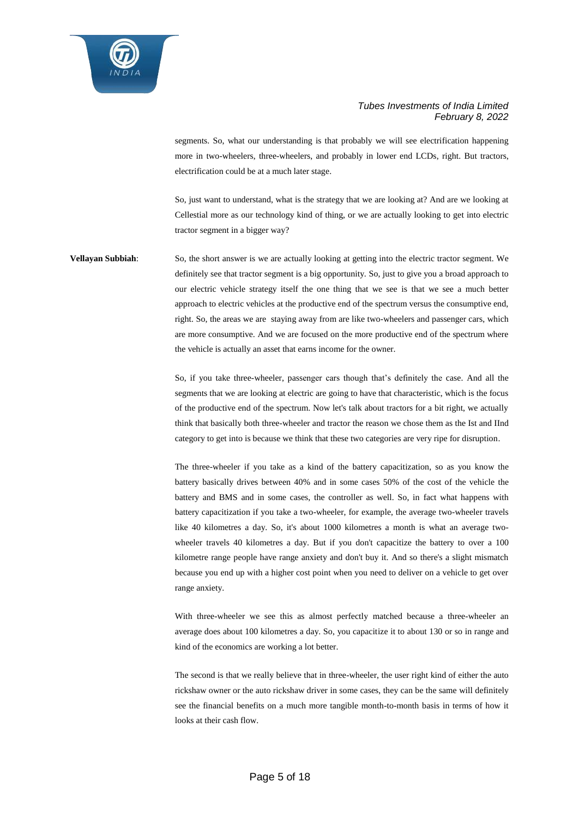

segments. So, what our understanding is that probably we will see electrification happening more in two-wheelers, three-wheelers, and probably in lower end LCDs, right. But tractors, electrification could be at a much later stage.

So, just want to understand, what is the strategy that we are looking at? And are we looking at Cellestial more as our technology kind of thing, or we are actually looking to get into electric tractor segment in a bigger way?

**Vellayan Subbiah:** So, the short answer is we are actually looking at getting into the electric tractor segment. We definitely see that tractor segment is a big opportunity. So, just to give you a broad approach to our electric vehicle strategy itself the one thing that we see is that we see a much better approach to electric vehicles at the productive end of the spectrum versus the consumptive end, right. So, the areas we are staying away from are like two-wheelers and passenger cars, which are more consumptive. And we are focused on the more productive end of the spectrum where the vehicle is actually an asset that earns income for the owner.

> So, if you take three-wheeler, passenger cars though that's definitely the case. And all the segments that we are looking at electric are going to have that characteristic, which is the focus of the productive end of the spectrum. Now let's talk about tractors for a bit right, we actually think that basically both three-wheeler and tractor the reason we chose them as the Ist and IInd category to get into is because we think that these two categories are very ripe for disruption.

> The three-wheeler if you take as a kind of the battery capacitization, so as you know the battery basically drives between 40% and in some cases 50% of the cost of the vehicle the battery and BMS and in some cases, the controller as well. So, in fact what happens with battery capacitization if you take a two-wheeler, for example, the average two-wheeler travels like 40 kilometres a day. So, it's about 1000 kilometres a month is what an average twowheeler travels 40 kilometres a day. But if you don't capacitize the battery to over a 100 kilometre range people have range anxiety and don't buy it. And so there's a slight mismatch because you end up with a higher cost point when you need to deliver on a vehicle to get over range anxiety.

> With three-wheeler we see this as almost perfectly matched because a three-wheeler an average does about 100 kilometres a day. So, you capacitize it to about 130 or so in range and kind of the economics are working a lot better.

> The second is that we really believe that in three-wheeler, the user right kind of either the auto rickshaw owner or the auto rickshaw driver in some cases, they can be the same will definitely see the financial benefits on a much more tangible month-to-month basis in terms of how it looks at their cash flow.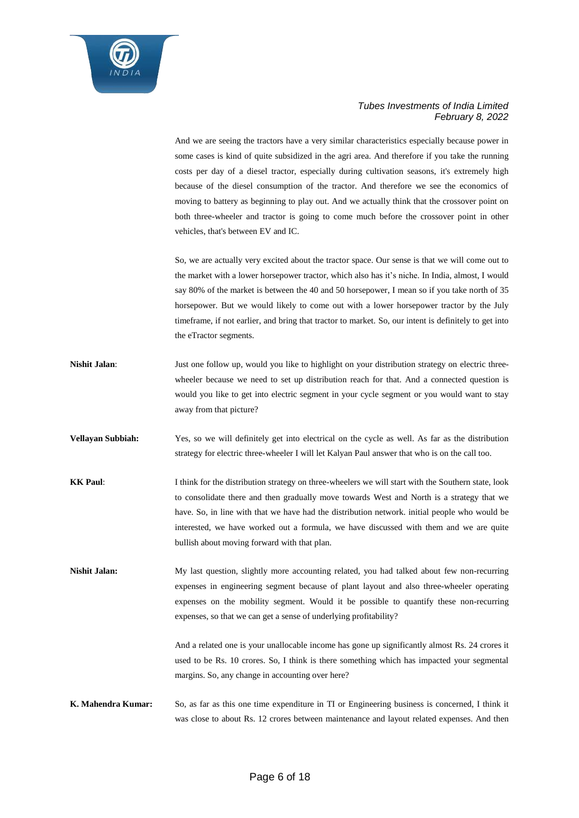

And we are seeing the tractors have a very similar characteristics especially because power in some cases is kind of quite subsidized in the agri area. And therefore if you take the running costs per day of a diesel tractor, especially during cultivation seasons, it's extremely high because of the diesel consumption of the tractor. And therefore we see the economics of moving to battery as beginning to play out. And we actually think that the crossover point on both three-wheeler and tractor is going to come much before the crossover point in other vehicles, that's between EV and IC.

So, we are actually very excited about the tractor space. Our sense is that we will come out to the market with a lower horsepower tractor, which also has it's niche. In India, almost, I would say 80% of the market is between the 40 and 50 horsepower, I mean so if you take north of 35 horsepower. But we would likely to come out with a lower horsepower tractor by the July timeframe, if not earlier, and bring that tractor to market. So, our intent is definitely to get into the eTractor segments.

- **Nishit Jalan:** Just one follow up, would you like to highlight on your distribution strategy on electric threewheeler because we need to set up distribution reach for that. And a connected question is would you like to get into electric segment in your cycle segment or you would want to stay away from that picture?
- **Vellayan Subbiah:** Yes, so we will definitely get into electrical on the cycle as well. As far as the distribution strategy for electric three-wheeler I will let Kalyan Paul answer that who is on the call too.
- **KK Paul:** I think for the distribution strategy on three-wheelers we will start with the Southern state, look to consolidate there and then gradually move towards West and North is a strategy that we have. So, in line with that we have had the distribution network. initial people who would be interested, we have worked out a formula, we have discussed with them and we are quite bullish about moving forward with that plan.

**Nishit Jalan:** My last question, slightly more accounting related, you had talked about few non-recurring expenses in engineering segment because of plant layout and also three-wheeler operating expenses on the mobility segment. Would it be possible to quantify these non-recurring expenses, so that we can get a sense of underlying profitability?

> And a related one is your unallocable income has gone up significantly almost Rs. 24 crores it used to be Rs. 10 crores. So, I think is there something which has impacted your segmental margins. So, any change in accounting over here?

**K. Mahendra Kumar:** So, as far as this one time expenditure in TI or Engineering business is concerned, I think it was close to about Rs. 12 crores between maintenance and layout related expenses. And then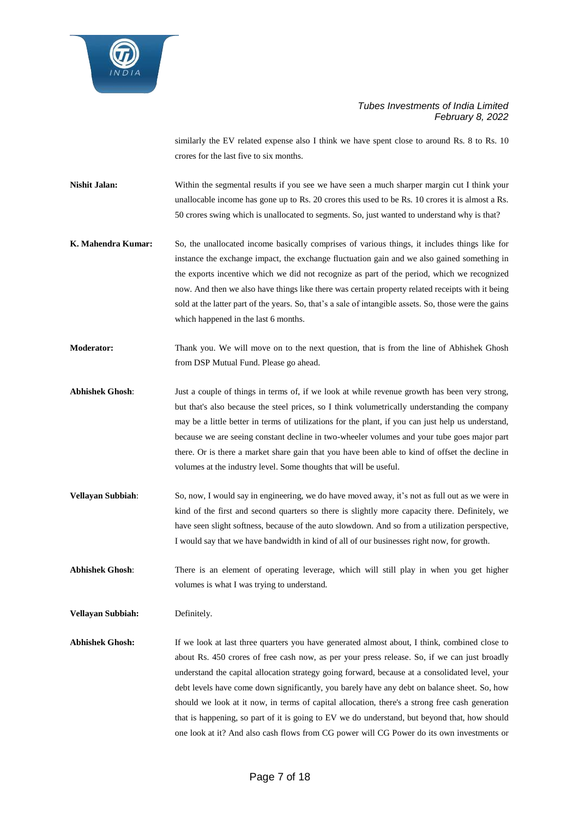

similarly the EV related expense also I think we have spent close to around Rs. 8 to Rs. 10 crores for the last five to six months.

**Nishit Jalan:** Within the segmental results if you see we have seen a much sharper margin cut I think your unallocable income has gone up to Rs. 20 crores this used to be Rs. 10 crores it is almost a Rs. 50 crores swing which is unallocated to segments. So, just wanted to understand why is that?

- **K. Mahendra Kumar:** So, the unallocated income basically comprises of various things, it includes things like for instance the exchange impact, the exchange fluctuation gain and we also gained something in the exports incentive which we did not recognize as part of the period, which we recognized now. And then we also have things like there was certain property related receipts with it being sold at the latter part of the years. So, that's a sale of intangible assets. So, those were the gains which happened in the last 6 months.
- **Moderator:** Thank you. We will move on to the next question, that is from the line of Abhishek Ghosh from DSP Mutual Fund. Please go ahead.
- **Abhishek Ghosh**: Just a couple of things in terms of, if we look at while revenue growth has been very strong, but that's also because the steel prices, so I think volumetrically understanding the company may be a little better in terms of utilizations for the plant, if you can just help us understand, because we are seeing constant decline in two-wheeler volumes and your tube goes major part there. Or is there a market share gain that you have been able to kind of offset the decline in volumes at the industry level. Some thoughts that will be useful.
- **Vellayan Subbiah:** So, now, I would say in engineering, we do have moved away, it's not as full out as we were in kind of the first and second quarters so there is slightly more capacity there. Definitely, we have seen slight softness, because of the auto slowdown. And so from a utilization perspective, I would say that we have bandwidth in kind of all of our businesses right now, for growth.

**Abhishek Ghosh**: There is an element of operating leverage, which will still play in when you get higher volumes is what I was trying to understand.

**Vellayan Subbiah:** Definitely.

**Abhishek Ghosh:** If we look at last three quarters you have generated almost about, I think, combined close to about Rs. 450 crores of free cash now, as per your press release. So, if we can just broadly understand the capital allocation strategy going forward, because at a consolidated level, your debt levels have come down significantly, you barely have any debt on balance sheet. So, how should we look at it now, in terms of capital allocation, there's a strong free cash generation that is happening, so part of it is going to EV we do understand, but beyond that, how should one look at it? And also cash flows from CG power will CG Power do its own investments or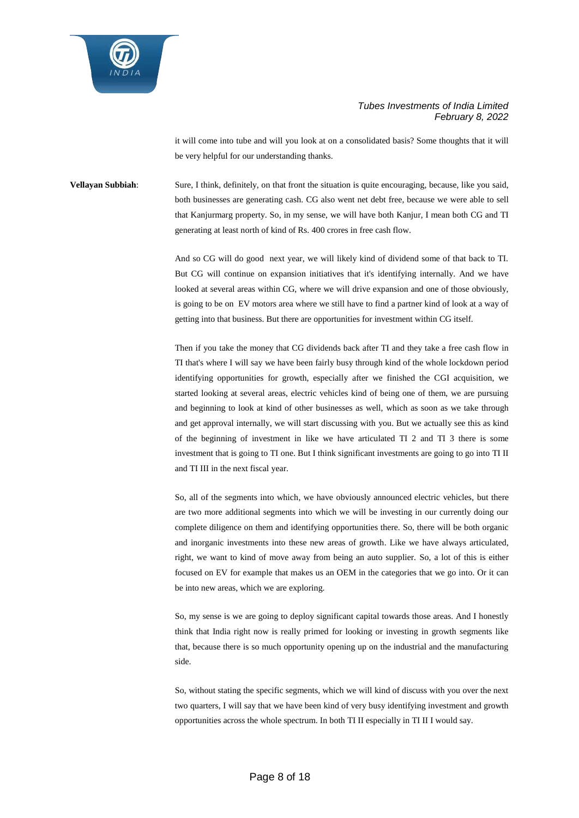

it will come into tube and will you look at on a consolidated basis? Some thoughts that it will be very helpful for our understanding thanks.

**Vellayan Subbiah**: Sure, I think, definitely, on that front the situation is quite encouraging, because, like you said, both businesses are generating cash. CG also went net debt free, because we were able to sell that Kanjurmarg property. So, in my sense, we will have both Kanjur, I mean both CG and TI generating at least north of kind of Rs. 400 crores in free cash flow.

> And so CG will do good next year, we will likely kind of dividend some of that back to TI. But CG will continue on expansion initiatives that it's identifying internally. And we have looked at several areas within CG, where we will drive expansion and one of those obviously, is going to be on EV motors area where we still have to find a partner kind of look at a way of getting into that business. But there are opportunities for investment within CG itself.

> Then if you take the money that CG dividends back after TI and they take a free cash flow in TI that's where I will say we have been fairly busy through kind of the whole lockdown period identifying opportunities for growth, especially after we finished the CGI acquisition, we started looking at several areas, electric vehicles kind of being one of them, we are pursuing and beginning to look at kind of other businesses as well, which as soon as we take through and get approval internally, we will start discussing with you. But we actually see this as kind of the beginning of investment in like we have articulated TI 2 and TI 3 there is some investment that is going to TI one. But I think significant investments are going to go into TI II and TI III in the next fiscal year.

> So, all of the segments into which, we have obviously announced electric vehicles, but there are two more additional segments into which we will be investing in our currently doing our complete diligence on them and identifying opportunities there. So, there will be both organic and inorganic investments into these new areas of growth. Like we have always articulated, right, we want to kind of move away from being an auto supplier. So, a lot of this is either focused on EV for example that makes us an OEM in the categories that we go into. Or it can be into new areas, which we are exploring.

> So, my sense is we are going to deploy significant capital towards those areas. And I honestly think that India right now is really primed for looking or investing in growth segments like that, because there is so much opportunity opening up on the industrial and the manufacturing side.

> So, without stating the specific segments, which we will kind of discuss with you over the next two quarters, I will say that we have been kind of very busy identifying investment and growth opportunities across the whole spectrum. In both TI II especially in TI II I would say.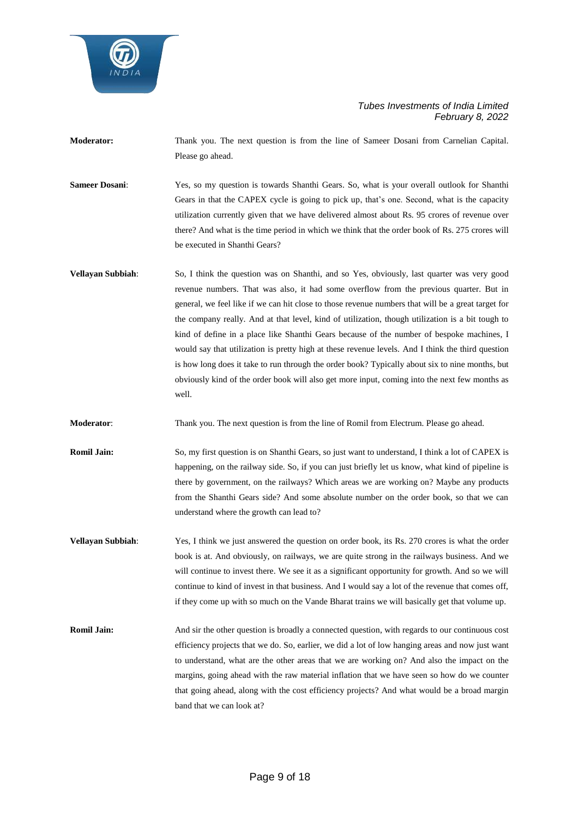

- **Moderator:** Thank you. The next question is from the line of Sameer Dosani from Carnelian Capital. Please go ahead.
- **Sameer Dosani**: Yes, so my question is towards Shanthi Gears. So, what is your overall outlook for Shanthi Gears in that the CAPEX cycle is going to pick up, that's one. Second, what is the capacity utilization currently given that we have delivered almost about Rs. 95 crores of revenue over there? And what is the time period in which we think that the order book of Rs. 275 crores will be executed in Shanthi Gears?
- **Vellayan Subbiah**: So, I think the question was on Shanthi, and so Yes, obviously, last quarter was very good revenue numbers. That was also, it had some overflow from the previous quarter. But in general, we feel like if we can hit close to those revenue numbers that will be a great target for the company really. And at that level, kind of utilization, though utilization is a bit tough to kind of define in a place like Shanthi Gears because of the number of bespoke machines, I would say that utilization is pretty high at these revenue levels. And I think the third question is how long does it take to run through the order book? Typically about six to nine months, but obviously kind of the order book will also get more input, coming into the next few months as well.
- **Moderator**: Thank you. The next question is from the line of Romil from Electrum. Please go ahead.
- **Romil Jain:** So, my first question is on Shanthi Gears, so just want to understand, I think a lot of CAPEX is happening, on the railway side. So, if you can just briefly let us know, what kind of pipeline is there by government, on the railways? Which areas we are working on? Maybe any products from the Shanthi Gears side? And some absolute number on the order book, so that we can understand where the growth can lead to?
- **Vellayan Subbiah:** Yes, I think we just answered the question on order book, its Rs. 270 crores is what the order book is at. And obviously, on railways, we are quite strong in the railways business. And we will continue to invest there. We see it as a significant opportunity for growth. And so we will continue to kind of invest in that business. And I would say a lot of the revenue that comes off, if they come up with so much on the Vande Bharat trains we will basically get that volume up.
- **Romil Jain:** And sir the other question is broadly a connected question, with regards to our continuous cost efficiency projects that we do. So, earlier, we did a lot of low hanging areas and now just want to understand, what are the other areas that we are working on? And also the impact on the margins, going ahead with the raw material inflation that we have seen so how do we counter that going ahead, along with the cost efficiency projects? And what would be a broad margin band that we can look at?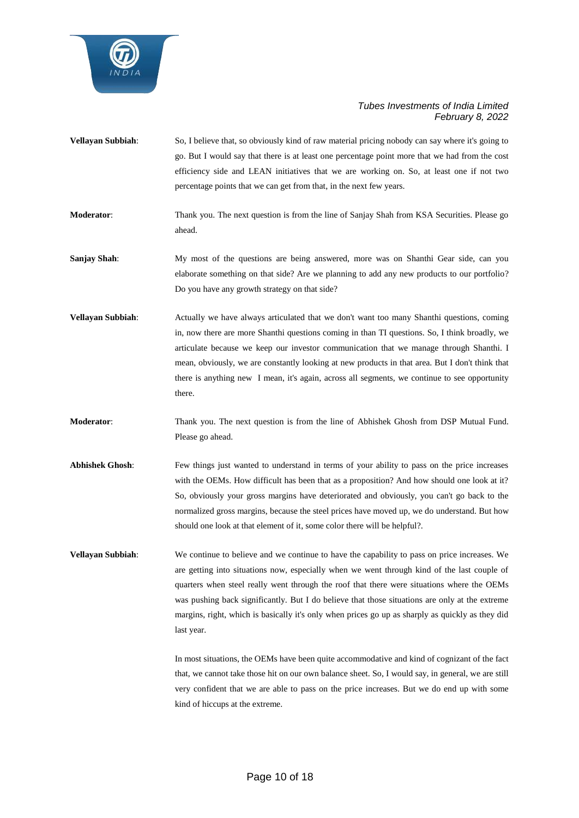

- **Vellayan Subbiah**: So, I believe that, so obviously kind of raw material pricing nobody can say where it's going to go. But I would say that there is at least one percentage point more that we had from the cost efficiency side and LEAN initiatives that we are working on. So, at least one if not two percentage points that we can get from that, in the next few years.
- **Moderator:** Thank you. The next question is from the line of Sanjay Shah from KSA Securities. Please go ahead.
- **Sanjay Shah:** My most of the questions are being answered, more was on Shanthi Gear side, can you elaborate something on that side? Are we planning to add any new products to our portfolio? Do you have any growth strategy on that side?
- **Vellayan Subbiah:** Actually we have always articulated that we don't want too many Shanthi questions, coming in, now there are more Shanthi questions coming in than TI questions. So, I think broadly, we articulate because we keep our investor communication that we manage through Shanthi. I mean, obviously, we are constantly looking at new products in that area. But I don't think that there is anything new I mean, it's again, across all segments, we continue to see opportunity there.
- **Moderator**: Thank you. The next question is from the line of Abhishek Ghosh from DSP Mutual Fund. Please go ahead.
- Abhishek Ghosh: Few things just wanted to understand in terms of your ability to pass on the price increases with the OEMs. How difficult has been that as a proposition? And how should one look at it? So, obviously your gross margins have deteriorated and obviously, you can't go back to the normalized gross margins, because the steel prices have moved up, we do understand. But how should one look at that element of it, some color there will be helpful?.
- **Vellayan Subbiah**: We continue to believe and we continue to have the capability to pass on price increases. We are getting into situations now, especially when we went through kind of the last couple of quarters when steel really went through the roof that there were situations where the OEMs was pushing back significantly. But I do believe that those situations are only at the extreme margins, right, which is basically it's only when prices go up as sharply as quickly as they did last year.

In most situations, the OEMs have been quite accommodative and kind of cognizant of the fact that, we cannot take those hit on our own balance sheet. So, I would say, in general, we are still very confident that we are able to pass on the price increases. But we do end up with some kind of hiccups at the extreme.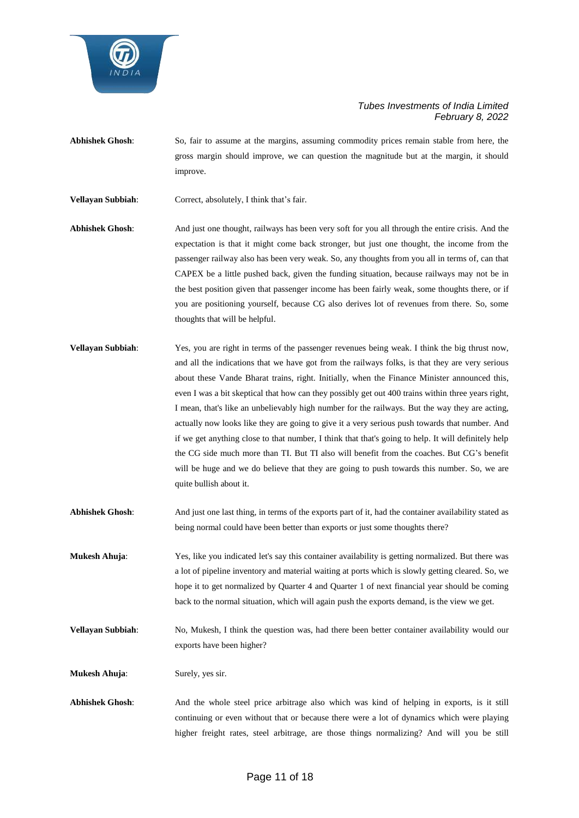

**Abhishek Ghosh**: So, fair to assume at the margins, assuming commodity prices remain stable from here, the gross margin should improve, we can question the magnitude but at the margin, it should improve.

**Vellayan Subbiah**: Correct, absolutely, I think that's fair.

- **Abhishek Ghosh**: And just one thought, railways has been very soft for you all through the entire crisis. And the expectation is that it might come back stronger, but just one thought, the income from the passenger railway also has been very weak. So, any thoughts from you all in terms of, can that CAPEX be a little pushed back, given the funding situation, because railways may not be in the best position given that passenger income has been fairly weak, some thoughts there, or if you are positioning yourself, because CG also derives lot of revenues from there. So, some thoughts that will be helpful.
- **Vellayan Subbiah:** Yes, you are right in terms of the passenger revenues being weak. I think the big thrust now, and all the indications that we have got from the railways folks, is that they are very serious about these Vande Bharat trains, right. Initially, when the Finance Minister announced this, even I was a bit skeptical that how can they possibly get out 400 trains within three years right, I mean, that's like an unbelievably high number for the railways. But the way they are acting, actually now looks like they are going to give it a very serious push towards that number. And if we get anything close to that number, I think that that's going to help. It will definitely help the CG side much more than TI. But TI also will benefit from the coaches. But CG's benefit will be huge and we do believe that they are going to push towards this number. So, we are quite bullish about it.
- **Abhishek Ghosh**: And just one last thing, in terms of the exports part of it, had the container availability stated as being normal could have been better than exports or just some thoughts there?
- **Mukesh Ahuja**: Yes, like you indicated let's say this container availability is getting normalized. But there was a lot of pipeline inventory and material waiting at ports which is slowly getting cleared. So, we hope it to get normalized by Quarter 4 and Quarter 1 of next financial year should be coming back to the normal situation, which will again push the exports demand, is the view we get.
- **Vellayan Subbiah:** No, Mukesh, I think the question was, had there been better container availability would our exports have been higher?

**Mukesh Ahuja**: Surely, yes sir.

**Abhishek Ghosh**: And the whole steel price arbitrage also which was kind of helping in exports, is it still continuing or even without that or because there were a lot of dynamics which were playing higher freight rates, steel arbitrage, are those things normalizing? And will you be still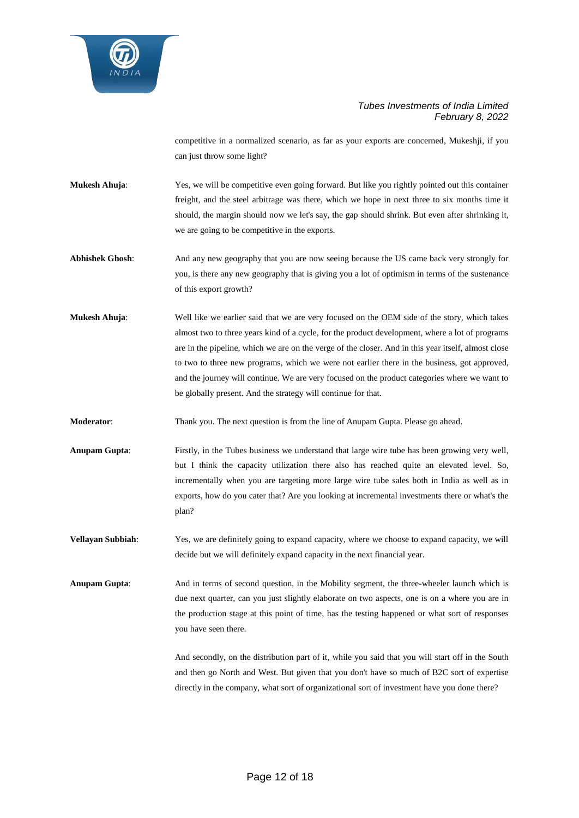

competitive in a normalized scenario, as far as your exports are concerned, Mukeshji, if you can just throw some light?

**Mukesh Ahuja:** Yes, we will be competitive even going forward. But like you rightly pointed out this container freight, and the steel arbitrage was there, which we hope in next three to six months time it should, the margin should now we let's say, the gap should shrink. But even after shrinking it, we are going to be competitive in the exports.

**Abhishek Ghosh**: And any new geography that you are now seeing because the US came back very strongly for you, is there any new geography that is giving you a lot of optimism in terms of the sustenance of this export growth?

**Mukesh Ahuja**: Well like we earlier said that we are very focused on the OEM side of the story, which takes almost two to three years kind of a cycle, for the product development, where a lot of programs are in the pipeline, which we are on the verge of the closer. And in this year itself, almost close to two to three new programs, which we were not earlier there in the business, got approved, and the journey will continue. We are very focused on the product categories where we want to be globally present. And the strategy will continue for that.

**Moderator:** Thank you. The next question is from the line of Anupam Gupta. Please go ahead.

**Anupam Gupta**: Firstly, in the Tubes business we understand that large wire tube has been growing very well, but I think the capacity utilization there also has reached quite an elevated level. So, incrementally when you are targeting more large wire tube sales both in India as well as in exports, how do you cater that? Are you looking at incremental investments there or what's the plan?

**Vellayan Subbiah:** Yes, we are definitely going to expand capacity, where we choose to expand capacity, we will decide but we will definitely expand capacity in the next financial year.

**Anupam Gupta**: And in terms of second question, in the Mobility segment, the three-wheeler launch which is due next quarter, can you just slightly elaborate on two aspects, one is on a where you are in the production stage at this point of time, has the testing happened or what sort of responses you have seen there.

> And secondly, on the distribution part of it, while you said that you will start off in the South and then go North and West. But given that you don't have so much of B2C sort of expertise directly in the company, what sort of organizational sort of investment have you done there?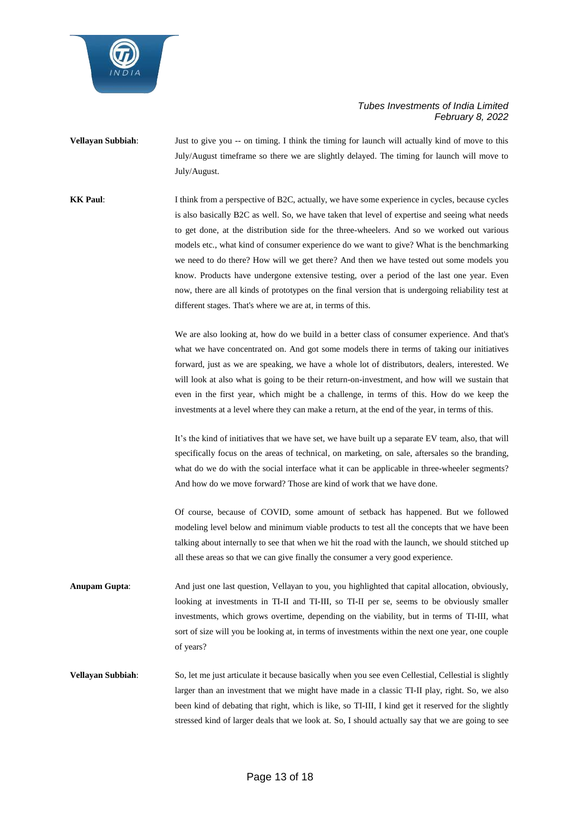

**Vellayan Subbiah:** Just to give you -- on timing. I think the timing for launch will actually kind of move to this July/August timeframe so there we are slightly delayed. The timing for launch will move to July/August.

**KK Paul:** I think from a perspective of B2C, actually, we have some experience in cycles, because cycles is also basically B2C as well. So, we have taken that level of expertise and seeing what needs to get done, at the distribution side for the three-wheelers. And so we worked out various models etc., what kind of consumer experience do we want to give? What is the benchmarking we need to do there? How will we get there? And then we have tested out some models you know. Products have undergone extensive testing, over a period of the last one year. Even now, there are all kinds of prototypes on the final version that is undergoing reliability test at different stages. That's where we are at, in terms of this.

> We are also looking at, how do we build in a better class of consumer experience. And that's what we have concentrated on. And got some models there in terms of taking our initiatives forward, just as we are speaking, we have a whole lot of distributors, dealers, interested. We will look at also what is going to be their return-on-investment, and how will we sustain that even in the first year, which might be a challenge, in terms of this. How do we keep the investments at a level where they can make a return, at the end of the year, in terms of this.

> It's the kind of initiatives that we have set, we have built up a separate EV team, also, that will specifically focus on the areas of technical, on marketing, on sale, aftersales so the branding, what do we do with the social interface what it can be applicable in three-wheeler segments? And how do we move forward? Those are kind of work that we have done.

> Of course, because of COVID, some amount of setback has happened. But we followed modeling level below and minimum viable products to test all the concepts that we have been talking about internally to see that when we hit the road with the launch, we should stitched up all these areas so that we can give finally the consumer a very good experience.

**Anupam Gupta**: And just one last question, Vellayan to you, you highlighted that capital allocation, obviously, looking at investments in TI-II and TI-III, so TI-II per se, seems to be obviously smaller investments, which grows overtime, depending on the viability, but in terms of TI-III, what sort of size will you be looking at, in terms of investments within the next one year, one couple of years?

**Vellayan Subbiah:** So, let me just articulate it because basically when you see even Cellestial, Cellestial is slightly larger than an investment that we might have made in a classic TI-II play, right. So, we also been kind of debating that right, which is like, so TI-III, I kind get it reserved for the slightly stressed kind of larger deals that we look at. So, I should actually say that we are going to see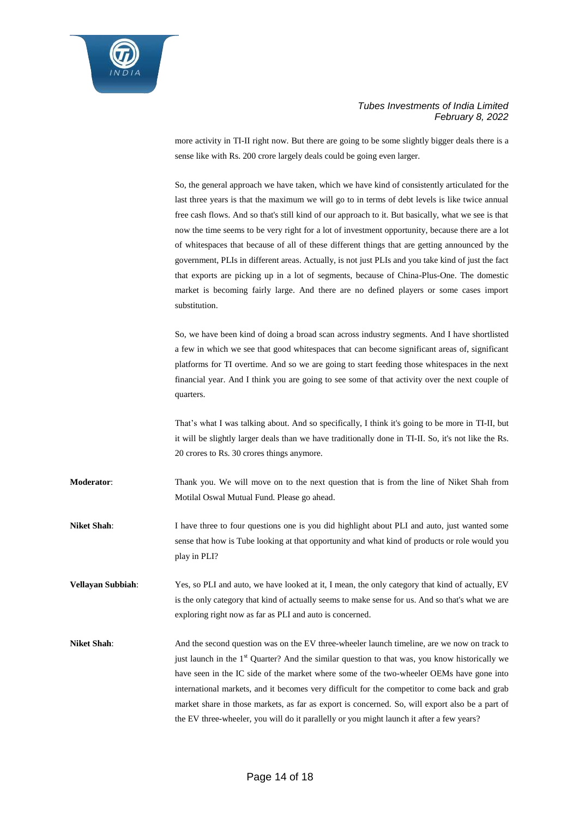

more activity in TI-II right now. But there are going to be some slightly bigger deals there is a sense like with Rs. 200 crore largely deals could be going even larger.

So, the general approach we have taken, which we have kind of consistently articulated for the last three years is that the maximum we will go to in terms of debt levels is like twice annual free cash flows. And so that's still kind of our approach to it. But basically, what we see is that now the time seems to be very right for a lot of investment opportunity, because there are a lot of whitespaces that because of all of these different things that are getting announced by the government, PLIs in different areas. Actually, is not just PLIs and you take kind of just the fact that exports are picking up in a lot of segments, because of China-Plus-One. The domestic market is becoming fairly large. And there are no defined players or some cases import substitution.

So, we have been kind of doing a broad scan across industry segments. And I have shortlisted a few in which we see that good whitespaces that can become significant areas of, significant platforms for TI overtime. And so we are going to start feeding those whitespaces in the next financial year. And I think you are going to see some of that activity over the next couple of quarters.

That's what I was talking about. And so specifically, I think it's going to be more in TI-II, but it will be slightly larger deals than we have traditionally done in TI-II. So, it's not like the Rs. 20 crores to Rs. 30 crores things anymore.

**Moderator**: Thank you. We will move on to the next question that is from the line of Niket Shah from Motilal Oswal Mutual Fund. Please go ahead.

**Niket Shah**: I have three to four questions one is you did highlight about PLI and auto, just wanted some sense that how is Tube looking at that opportunity and what kind of products or role would you play in PLI?

**Vellayan Subbiah**: Yes, so PLI and auto, we have looked at it, I mean, the only category that kind of actually, EV is the only category that kind of actually seems to make sense for us. And so that's what we are exploring right now as far as PLI and auto is concerned.

**Niket Shah:** And the second question was on the EV three-wheeler launch timeline, are we now on track to just launch in the 1<sup>st</sup> Quarter? And the similar question to that was, you know historically we have seen in the IC side of the market where some of the two-wheeler OEMs have gone into international markets, and it becomes very difficult for the competitor to come back and grab market share in those markets, as far as export is concerned. So, will export also be a part of the EV three-wheeler, you will do it parallelly or you might launch it after a few years?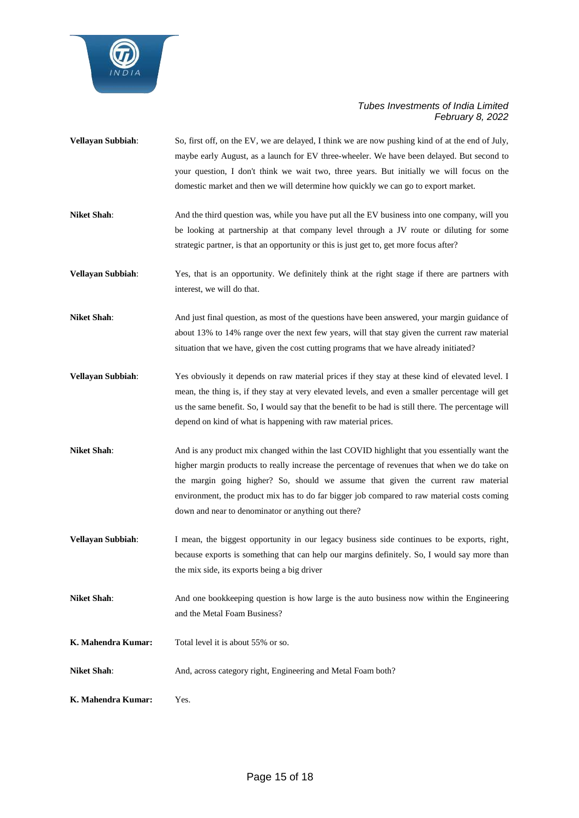

- **Vellayan Subbiah**: So, first off, on the EV, we are delayed, I think we are now pushing kind of at the end of July, maybe early August, as a launch for EV three-wheeler. We have been delayed. But second to your question, I don't think we wait two, three years. But initially we will focus on the domestic market and then we will determine how quickly we can go to export market.
- **Niket Shah:** And the third question was, while you have put all the EV business into one company, will you be looking at partnership at that company level through a JV route or diluting for some strategic partner, is that an opportunity or this is just get to, get more focus after?
- **Vellayan Subbiah**: Yes, that is an opportunity. We definitely think at the right stage if there are partners with interest, we will do that.
- **Niket Shah**: And just final question, as most of the questions have been answered, your margin guidance of about 13% to 14% range over the next few years, will that stay given the current raw material situation that we have, given the cost cutting programs that we have already initiated?
- **Vellayan Subbiah**: Yes obviously it depends on raw material prices if they stay at these kind of elevated level. I mean, the thing is, if they stay at very elevated levels, and even a smaller percentage will get us the same benefit. So, I would say that the benefit to be had is still there. The percentage will depend on kind of what is happening with raw material prices.
- **Niket Shah**: And is any product mix changed within the last COVID highlight that you essentially want the higher margin products to really increase the percentage of revenues that when we do take on the margin going higher? So, should we assume that given the current raw material environment, the product mix has to do far bigger job compared to raw material costs coming down and near to denominator or anything out there?
- **Vellayan Subbiah:** I mean, the biggest opportunity in our legacy business side continues to be exports, right, because exports is something that can help our margins definitely. So, I would say more than the mix side, its exports being a big driver
- Niket Shah: And one bookkeeping question is how large is the auto business now within the Engineering and the Metal Foam Business?
- **K. Mahendra Kumar:** Total level it is about 55% or so.
- Niket Shah: And, across category right, Engineering and Metal Foam both?
- **K. Mahendra Kumar:** Yes.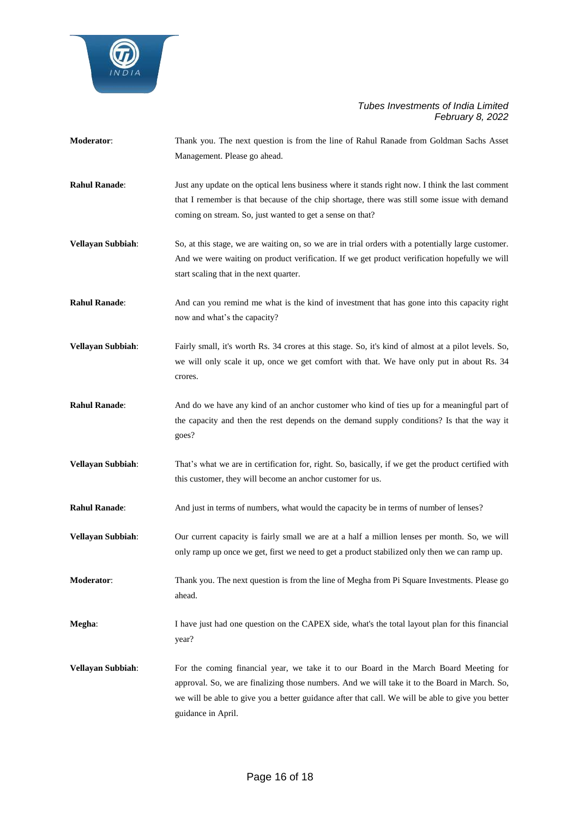

- **Moderator**: Thank you. The next question is from the line of Rahul Ranade from Goldman Sachs Asset Management. Please go ahead.
- **Rahul Ranade**: Just any update on the optical lens business where it stands right now. I think the last comment that I remember is that because of the chip shortage, there was still some issue with demand coming on stream. So, just wanted to get a sense on that?
- **Vellayan Subbiah:** So, at this stage, we are waiting on, so we are in trial orders with a potentially large customer. And we were waiting on product verification. If we get product verification hopefully we will start scaling that in the next quarter.
- **Rahul Ranade:** And can you remind me what is the kind of investment that has gone into this capacity right now and what's the capacity?
- **Vellayan Subbiah**: Fairly small, it's worth Rs. 34 crores at this stage. So, it's kind of almost at a pilot levels. So, we will only scale it up, once we get comfort with that. We have only put in about Rs. 34 crores.
- **Rahul Ranade:** And do we have any kind of an anchor customer who kind of ties up for a meaningful part of the capacity and then the rest depends on the demand supply conditions? Is that the way it goes?
- **Vellayan Subbiah**: That's what we are in certification for, right. So, basically, if we get the product certified with this customer, they will become an anchor customer for us.
- **Rahul Ranade:** And just in terms of numbers, what would the capacity be in terms of number of lenses?
- **Vellayan Subbiah**: Our current capacity is fairly small we are at a half a million lenses per month. So, we will only ramp up once we get, first we need to get a product stabilized only then we can ramp up.
- **Moderator:** Thank you. The next question is from the line of Megha from Pi Square Investments. Please go ahead.
- **Megha:** I have just had one question on the CAPEX side, what's the total layout plan for this financial year?
- **Vellayan Subbiah**: For the coming financial year, we take it to our Board in the March Board Meeting for approval. So, we are finalizing those numbers. And we will take it to the Board in March. So, we will be able to give you a better guidance after that call. We will be able to give you better guidance in April.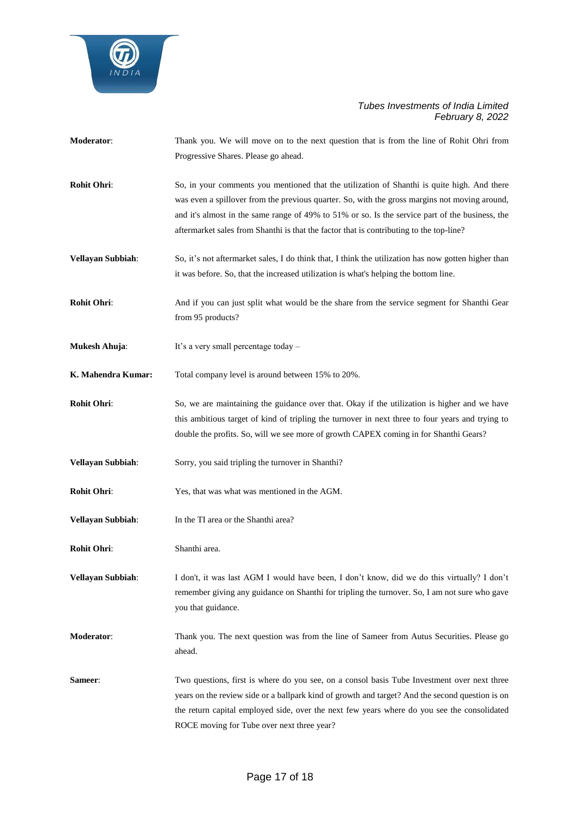

- **Moderator**: Thank you. We will move on to the next question that is from the line of Rohit Ohri from Progressive Shares. Please go ahead.
- **Rohit Ohri:** So, in your comments you mentioned that the utilization of Shanthi is quite high. And there was even a spillover from the previous quarter. So, with the gross margins not moving around, and it's almost in the same range of 49% to 51% or so. Is the service part of the business, the aftermarket sales from Shanthi is that the factor that is contributing to the top-line?
- **Vellayan Subbiah:** So, it's not aftermarket sales, I do think that, I think the utilization has now gotten higher than it was before. So, that the increased utilization is what's helping the bottom line.
- **Rohit Ohri:** And if you can just split what would be the share from the service segment for Shanthi Gear from 95 products?
- **Mukesh Ahuja:** It's a very small percentage today –
- **K. Mahendra Kumar:** Total company level is around between 15% to 20%.
- **Rohit Ohri:** So, we are maintaining the guidance over that. Okay if the utilization is higher and we have this ambitious target of kind of tripling the turnover in next three to four years and trying to double the profits. So, will we see more of growth CAPEX coming in for Shanthi Gears?
- **Vellayan Subbiah**: Sorry, you said tripling the turnover in Shanthi?
- **Rohit Ohri:** Yes, that was what was mentioned in the AGM.
- **Vellayan Subbiah**: In the TI area or the Shanthi area?
- **Rohit Ohri**: Shanthi area.

**Vellayan Subbiah**: I don't, it was last AGM I would have been, I don't know, did we do this virtually? I don't remember giving any guidance on Shanthi for tripling the turnover. So, I am not sure who gave you that guidance.

- **Moderator**: Thank you. The next question was from the line of Sameer from Autus Securities. Please go ahead.
- **Sameer:** Two questions, first is where do you see, on a consol basis Tube Investment over next three years on the review side or a ballpark kind of growth and target? And the second question is on the return capital employed side, over the next few years where do you see the consolidated ROCE moving for Tube over next three year?